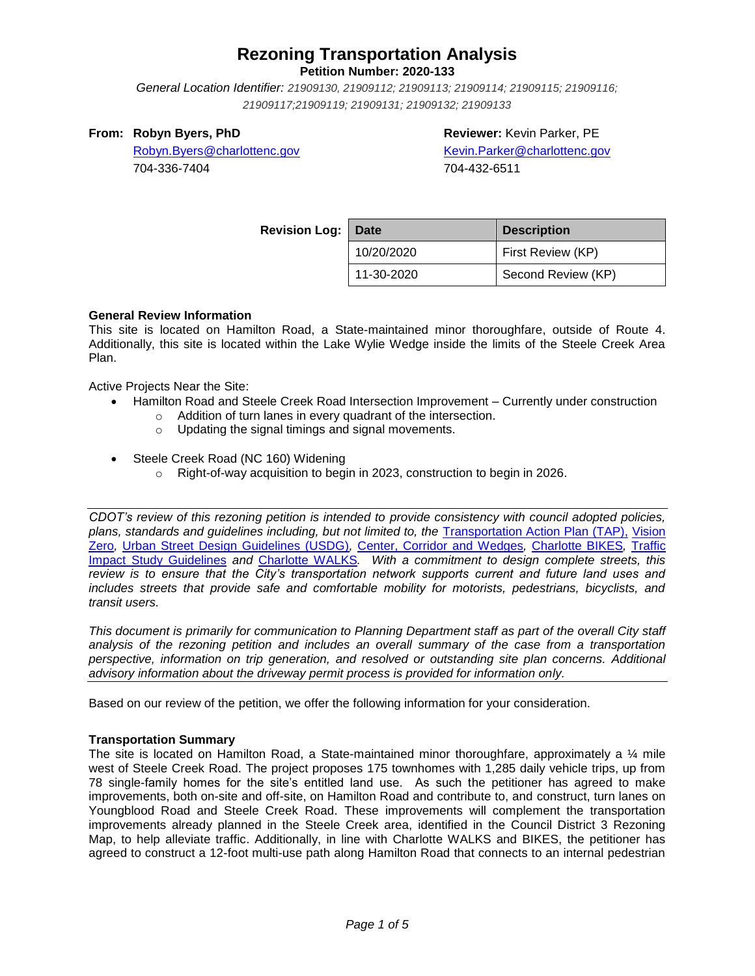**Petition Number: 2020-133**

*General Location Identifier: [21909130, 21909112; 21909113; 21909114; 21909115; 21909116;](https://charlotte-prod-av.accela.com/portlets/parcel/parcelList.do?mode=list&entityType=PARCEL_DAILY&module=Planning&spaceName=spaces.rzp2020133)  [21909117;21909119; 21909131; 21909132; 21909133](https://charlotte-prod-av.accela.com/portlets/parcel/parcelList.do?mode=list&entityType=PARCEL_DAILY&module=Planning&spaceName=spaces.rzp2020133)*

#### **From: Robyn Byers, PhD**

**Reviewer:** Kevin Parker, PE [Kevin.Parker@charlottenc.gov](mailto:Kevin.Parker@charlottenc.gov)

[Robyn.Byers@charlottenc.gov](mailto:Robyn.Byers@charlottenc.gov) 704-336-7404

704-432-6511

| <b>Revision Log:</b> | Date       | <b>Description</b> |  |  |
|----------------------|------------|--------------------|--|--|
|                      | 10/20/2020 | First Review (KP)  |  |  |
|                      | 11-30-2020 | Second Review (KP) |  |  |

#### **General Review Information**

This site is located on Hamilton Road, a State-maintained minor thoroughfare, outside of Route 4. Additionally, this site is located within the Lake Wylie Wedge inside the limits of the Steele Creek Area Plan.

Active Projects Near the Site:

- Hamilton Road and Steele Creek Road Intersection Improvement Currently under construction
	- o Addition of turn lanes in every quadrant of the intersection.
	- o Updating the signal timings and signal movements.
- Steele Creek Road (NC 160) Widening
	- o Right-of-way acquisition to begin in 2023, construction to begin in 2026.

*CDOT's review of this rezoning petition is intended to provide consistency with council adopted policies, plans, standards and guidelines including, but not limited to, the* [Transportation Action Plan \(TAP\),](https://charlottenc.gov/Transportation/Programs/Pages/TransportationActionPlan.aspx) [Vision](https://charlottenc.gov/VisionZero/Pages/VisionZero.aspx)  [Zero](https://charlottenc.gov/VisionZero/Pages/VisionZero.aspx)*,* [Urban Street Design Guidelines \(USDG\)](https://charlottenc.gov/Transportation/PlansProjects/Documents/USDG%20Full%20Document.pdf)*,* [Center, Corridor and](http://ww.charmeck.org/Planning/Land%20Use%20Planning/CentersCorridorsWedges/CentersCorridorsWedges(Adopted).pdf) Wedges*,* [Charlotte BIKES](https://charlottenc.gov/Transportation/Programs/Pages/Bicycle.aspx)*,* [Traffic](https://charlottenc.gov/Transportation/Permits/Documents/TISProcessandGuildlines.pdf)  [Impact Study Guidelines](https://charlottenc.gov/Transportation/Permits/Documents/TISProcessandGuildlines.pdf) *and* [Charlotte WALKS](https://charlottenc.gov/Transportation/Programs/Pages/CharlotteWalks.aspx)*. With a commitment to design complete streets, this review is to ensure that the City's transportation network supports current and future land uses and includes streets that provide safe and comfortable mobility for motorists, pedestrians, bicyclists, and transit users.*

*This document is primarily for communication to Planning Department staff as part of the overall City staff analysis of the rezoning petition and includes an overall summary of the case from a transportation perspective, information on trip generation, and resolved or outstanding site plan concerns. Additional advisory information about the driveway permit process is provided for information only.*

Based on our review of the petition, we offer the following information for your consideration.

#### **Transportation Summary**

The site is located on Hamilton Road, a State-maintained minor thoroughfare, approximately a 1/4 mile west of Steele Creek Road. The project proposes 175 townhomes with 1,285 daily vehicle trips, up from 78 single-family homes for the site's entitled land use. As such the petitioner has agreed to make improvements, both on-site and off-site, on Hamilton Road and contribute to, and construct, turn lanes on Youngblood Road and Steele Creek Road. These improvements will complement the transportation improvements already planned in the Steele Creek area, identified in the Council District 3 Rezoning Map, to help alleviate traffic. Additionally, in line with Charlotte WALKS and BIKES, the petitioner has agreed to construct a 12-foot multi-use path along Hamilton Road that connects to an internal pedestrian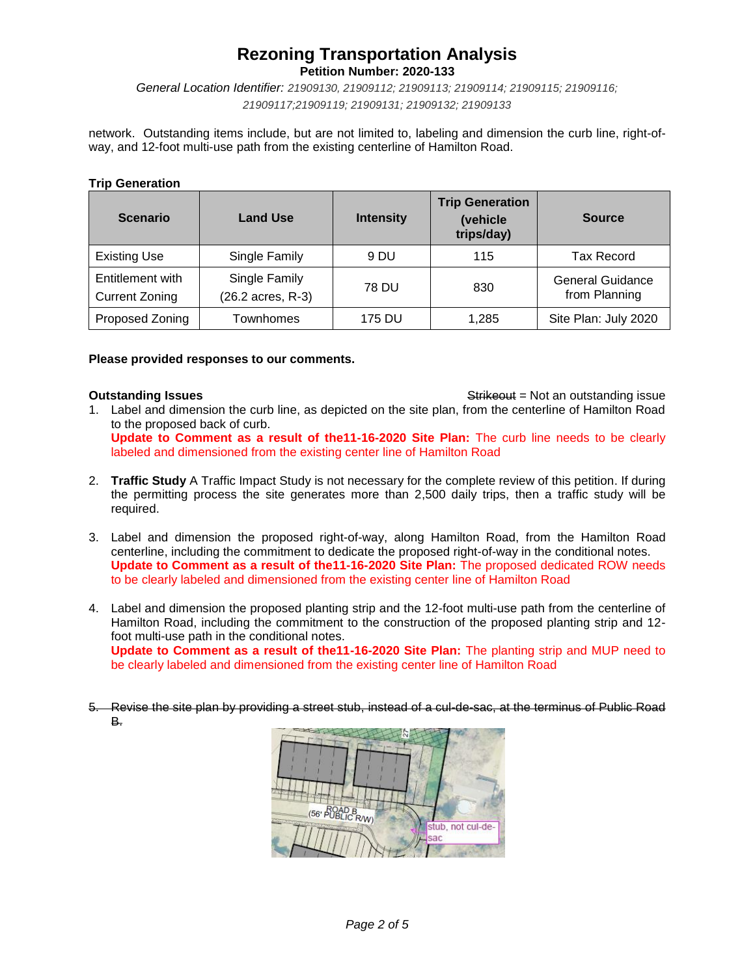**Petition Number: 2020-133**

*General Location Identifier: [21909130, 21909112; 21909113; 21909114; 21909115; 21909116;](https://charlotte-prod-av.accela.com/portlets/parcel/parcelList.do?mode=list&entityType=PARCEL_DAILY&module=Planning&spaceName=spaces.rzp2020133)  [21909117;21909119; 21909131; 21909132; 21909133](https://charlotte-prod-av.accela.com/portlets/parcel/parcelList.do?mode=list&entityType=PARCEL_DAILY&module=Planning&spaceName=spaces.rzp2020133)*

network. Outstanding items include, but are not limited to, labeling and dimension the curb line, right-ofway, and 12-foot multi-use path from the existing centerline of Hamilton Road.

#### **Trip Generation**

| <b>Scenario</b>                           | <b>Land Use</b>                    | <b>Intensity</b> | <b>Trip Generation</b><br>(vehicle<br>trips/day) | <b>Source</b>                            |
|-------------------------------------------|------------------------------------|------------------|--------------------------------------------------|------------------------------------------|
| <b>Existing Use</b>                       | Single Family                      | 9 DU             | 115                                              | <b>Tax Record</b>                        |
| Entitlement with<br><b>Current Zoning</b> | Single Family<br>(26.2 acres, R-3) | 78 DU            | 830                                              | <b>General Guidance</b><br>from Planning |
| Proposed Zoning                           | Townhomes                          | 175 DU           | 1.285                                            | Site Plan: July 2020                     |

#### **Please provided responses to our comments.**

**Outstanding Issues Contains a Strike of the Strike of Australian Strike of Australian Strike of Australian Strike of Australian Strike of Australian Strike of Australian Strike of Australian Strike of Australian Strike** 

- 1. Label and dimension the curb line, as depicted on the site plan, from the centerline of Hamilton Road to the proposed back of curb. **Update to Comment as a result of the11-16-2020 Site Plan:** The curb line needs to be clearly labeled and dimensioned from the existing center line of Hamilton Road
- 2. **Traffic Study** A Traffic Impact Study is not necessary for the complete review of this petition. If during the permitting process the site generates more than 2,500 daily trips, then a traffic study will be required.
- 3. Label and dimension the proposed right-of-way, along Hamilton Road, from the Hamilton Road centerline, including the commitment to dedicate the proposed right-of-way in the conditional notes. **Update to Comment as a result of the11-16-2020 Site Plan:** The proposed dedicated ROW needs to be clearly labeled and dimensioned from the existing center line of Hamilton Road
- 4. Label and dimension the proposed planting strip and the 12-foot multi-use path from the centerline of Hamilton Road, including the commitment to the construction of the proposed planting strip and 12 foot multi-use path in the conditional notes. **Update to Comment as a result of the11-16-2020 Site Plan:** The planting strip and MUP need to be clearly labeled and dimensioned from the existing center line of Hamilton Road
- 5. Revise the site plan by providing a street stub, instead of a cul-de-sac, at the terminus of Public Road B.

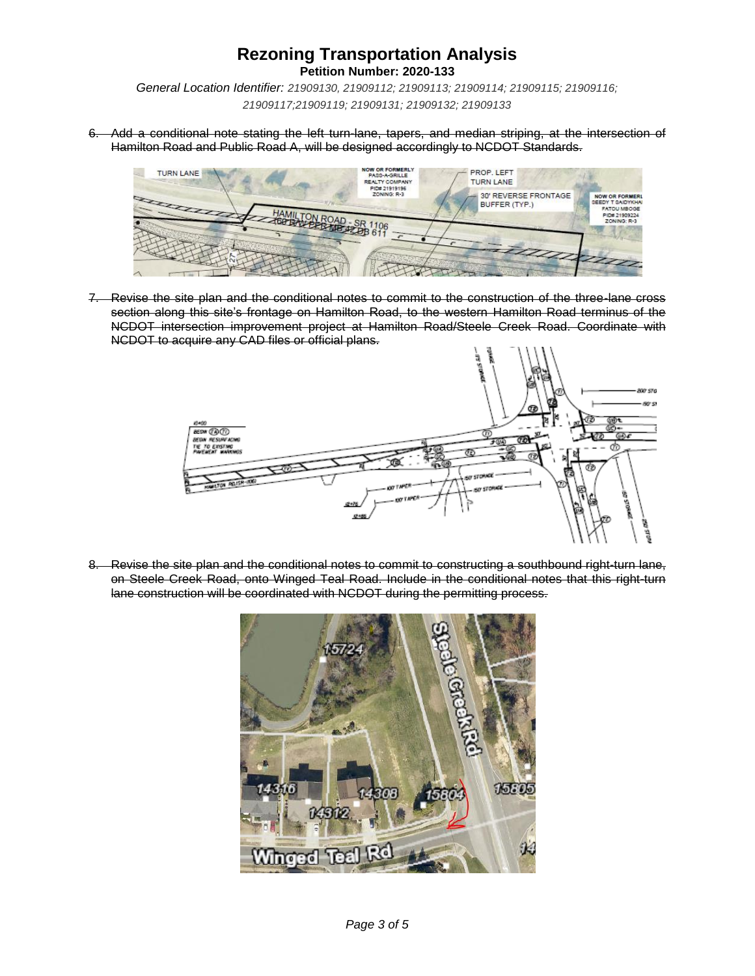**Petition Number: 2020-133**

*General Location Identifier: [21909130, 21909112; 21909113; 21909114; 21909115; 21909116;](https://charlotte-prod-av.accela.com/portlets/parcel/parcelList.do?mode=list&entityType=PARCEL_DAILY&module=Planning&spaceName=spaces.rzp2020133)  [21909117;21909119; 21909131; 21909132; 21909133](https://charlotte-prod-av.accela.com/portlets/parcel/parcelList.do?mode=list&entityType=PARCEL_DAILY&module=Planning&spaceName=spaces.rzp2020133)*

6. Add a conditional note stating the left turn-lane, tapers, and median striping, at the intersection of Hamilton Road and Public Road A, will be designed accordingly to NCDOT Standards.



7. Revise the site plan and the conditional notes to commit to the construction of the three-lane cross section along this site's frontage on Hamilton Road, to the western Hamilton Road terminus of the NCDOT intersection improvement project at Hamilton Road/Steele Creek Road. Coordinate with NCDOT to acquire any CAD files or official plans.



8. Revise the site plan and the conditional notes to commit to constructing a southbound right-turn lane, on Steele Creek Road, onto Winged Teal Road. Include in the conditional notes that this right-turn lane construction will be coordinated with NCDOT during the permitting process.

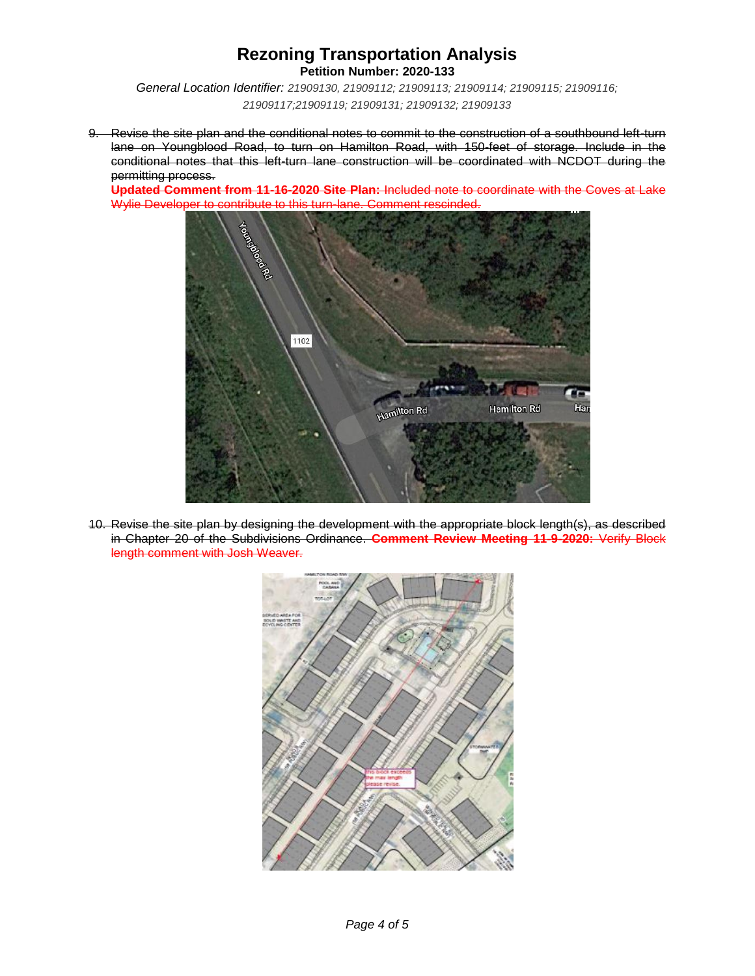**Petition Number: 2020-133**

*General Location Identifier: [21909130, 21909112; 21909113; 21909114; 21909115; 21909116;](https://charlotte-prod-av.accela.com/portlets/parcel/parcelList.do?mode=list&entityType=PARCEL_DAILY&module=Planning&spaceName=spaces.rzp2020133)  [21909117;21909119; 21909131; 21909132; 21909133](https://charlotte-prod-av.accela.com/portlets/parcel/parcelList.do?mode=list&entityType=PARCEL_DAILY&module=Planning&spaceName=spaces.rzp2020133)*

9. Revise the site plan and the conditional notes to commit to the construction of a southbound left-turn lane on Youngblood Road, to turn on Hamilton Road, with 150-feet of storage. Include in the conditional notes that this left-turn lane construction will be coordinated with NCDOT during the permitting process.

**Updated Comment from 11-16-2020 Site Plan:** Included note to coordinate with the Coves at Lake Wylie Developer to contribute to this turn-lane. Comment rescinded.



10. Revise the site plan by designing the development with the appropriate block length(s), as described in Chapter 20 of the Subdivisions Ordinance. **Comment Review Meeting 11-9-2020:** Verify Block length comment with Josh Weaver.